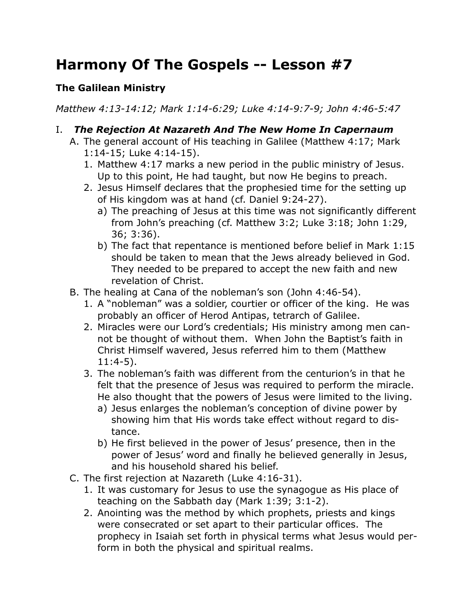# **Harmony Of The Gospels -- Lesson #7**

## **The Galilean Ministry**

*Matthew 4:13-14:12; Mark 1:14-6:29; Luke 4:14-9:7-9; John 4:46-5:47*

- I. *The Rejection At Nazareth And The New Home In Capernaum*
	- A. The general account of His teaching in Galilee (Matthew 4:17; Mark 1:14-15; Luke 4:14-15).
		- 1. Matthew 4:17 marks a new period in the public ministry of Jesus. Up to this point, He had taught, but now He begins to preach.
		- 2. Jesus Himself declares that the prophesied time for the setting up of His kingdom was at hand (cf. Daniel 9:24-27).
			- a) The preaching of Jesus at this time was not significantly different from John's preaching (cf. Matthew 3:2; Luke 3:18; John 1:29, 36; 3:36).
			- b) The fact that repentance is mentioned before belief in Mark 1:15 should be taken to mean that the Jews already believed in God. They needed to be prepared to accept the new faith and new revelation of Christ.
	- B. The healing at Cana of the nobleman's son (John 4:46-54).
		- 1. A "nobleman" was a soldier, courtier or officer of the king. He was probably an officer of Herod Antipas, tetrarch of Galilee.
		- 2. Miracles were our Lord's credentials; His ministry among men cannot be thought of without them. When John the Baptist's faith in Christ Himself wavered, Jesus referred him to them (Matthew 11:4-5).
		- 3. The nobleman's faith was different from the centurion's in that he felt that the presence of Jesus was required to perform the miracle. He also thought that the powers of Jesus were limited to the living.
			- a) Jesus enlarges the nobleman's conception of divine power by showing him that His words take effect without regard to distance.
			- b) He first believed in the power of Jesus' presence, then in the power of Jesus' word and finally he believed generally in Jesus, and his household shared his belief.
	- C. The first rejection at Nazareth (Luke 4:16-31).
		- 1. It was customary for Jesus to use the synagogue as His place of teaching on the Sabbath day (Mark 1:39; 3:1-2).
		- 2. Anointing was the method by which prophets, priests and kings were consecrated or set apart to their particular offices. The prophecy in Isaiah set forth in physical terms what Jesus would perform in both the physical and spiritual realms.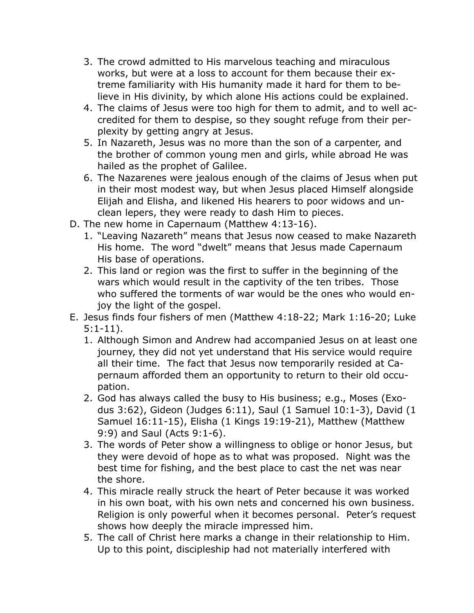- 3. The crowd admitted to His marvelous teaching and miraculous works, but were at a loss to account for them because their extreme familiarity with His humanity made it hard for them to believe in His divinity, by which alone His actions could be explained.
- 4. The claims of Jesus were too high for them to admit, and to well accredited for them to despise, so they sought refuge from their perplexity by getting angry at Jesus.
- 5. In Nazareth, Jesus was no more than the son of a carpenter, and the brother of common young men and girls, while abroad He was hailed as the prophet of Galilee.
- 6. The Nazarenes were jealous enough of the claims of Jesus when put in their most modest way, but when Jesus placed Himself alongside Elijah and Elisha, and likened His hearers to poor widows and unclean lepers, they were ready to dash Him to pieces.
- D. The new home in Capernaum (Matthew 4:13-16).
	- 1. "Leaving Nazareth" means that Jesus now ceased to make Nazareth His home. The word "dwelt" means that Jesus made Capernaum His base of operations.
	- 2. This land or region was the first to suffer in the beginning of the wars which would result in the captivity of the ten tribes. Those who suffered the torments of war would be the ones who would enjoy the light of the gospel.
- E. Jesus finds four fishers of men (Matthew 4:18-22; Mark 1:16-20; Luke 5:1-11).
	- 1. Although Simon and Andrew had accompanied Jesus on at least one journey, they did not yet understand that His service would require all their time. The fact that Jesus now temporarily resided at Capernaum afforded them an opportunity to return to their old occupation.
	- 2. God has always called the busy to His business; e.g., Moses (Exodus 3:62), Gideon (Judges 6:11), Saul (1 Samuel 10:1-3), David (1 Samuel 16:11-15), Elisha (1 Kings 19:19-21), Matthew (Matthew 9:9) and Saul (Acts 9:1-6).
	- 3. The words of Peter show a willingness to oblige or honor Jesus, but they were devoid of hope as to what was proposed. Night was the best time for fishing, and the best place to cast the net was near the shore.
	- 4. This miracle really struck the heart of Peter because it was worked in his own boat, with his own nets and concerned his own business. Religion is only powerful when it becomes personal. Peter's request shows how deeply the miracle impressed him.
	- 5. The call of Christ here marks a change in their relationship to Him. Up to this point, discipleship had not materially interfered with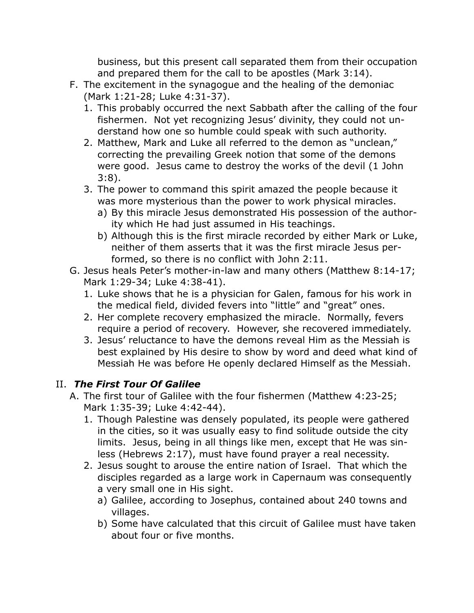business, but this present call separated them from their occupation and prepared them for the call to be apostles (Mark 3:14).

- F. The excitement in the synagogue and the healing of the demoniac (Mark 1:21-28; Luke 4:31-37).
	- 1. This probably occurred the next Sabbath after the calling of the four fishermen. Not yet recognizing Jesus' divinity, they could not understand how one so humble could speak with such authority.
	- 2. Matthew, Mark and Luke all referred to the demon as "unclean," correcting the prevailing Greek notion that some of the demons were good. Jesus came to destroy the works of the devil (1 John 3:8).
	- 3. The power to command this spirit amazed the people because it was more mysterious than the power to work physical miracles.
		- a) By this miracle Jesus demonstrated His possession of the authority which He had just assumed in His teachings.
		- b) Although this is the first miracle recorded by either Mark or Luke, neither of them asserts that it was the first miracle Jesus performed, so there is no conflict with John 2:11.
- G. Jesus heals Peter's mother-in-law and many others (Matthew 8:14-17; Mark 1:29-34; Luke 4:38-41).
	- 1. Luke shows that he is a physician for Galen, famous for his work in the medical field, divided fevers into "little" and "great" ones.
	- 2. Her complete recovery emphasized the miracle. Normally, fevers require a period of recovery. However, she recovered immediately.
	- 3. Jesus' reluctance to have the demons reveal Him as the Messiah is best explained by His desire to show by word and deed what kind of Messiah He was before He openly declared Himself as the Messiah.

## II. *The First Tour Of Galilee*

- A. The first tour of Galilee with the four fishermen (Matthew 4:23-25; Mark 1:35-39; Luke 4:42-44).
	- 1. Though Palestine was densely populated, its people were gathered in the cities, so it was usually easy to find solitude outside the city limits. Jesus, being in all things like men, except that He was sinless (Hebrews 2:17), must have found prayer a real necessity.
	- 2. Jesus sought to arouse the entire nation of Israel. That which the disciples regarded as a large work in Capernaum was consequently a very small one in His sight.
		- a) Galilee, according to Josephus, contained about 240 towns and villages.
		- b) Some have calculated that this circuit of Galilee must have taken about four or five months.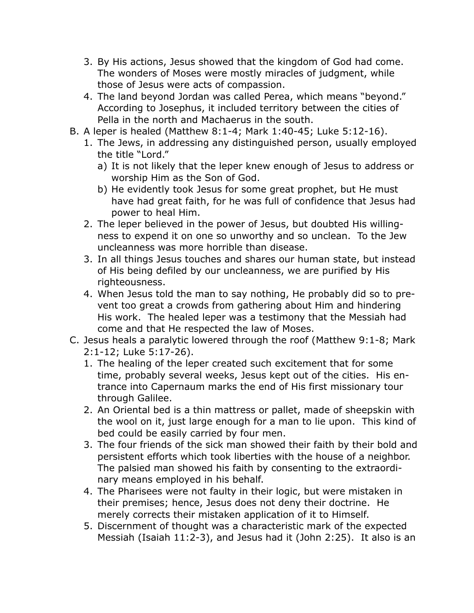- 3. By His actions, Jesus showed that the kingdom of God had come. The wonders of Moses were mostly miracles of judgment, while those of Jesus were acts of compassion.
- 4. The land beyond Jordan was called Perea, which means "beyond." According to Josephus, it included territory between the cities of Pella in the north and Machaerus in the south.
- B. A leper is healed (Matthew 8:1-4; Mark 1:40-45; Luke 5:12-16).
	- 1. The Jews, in addressing any distinguished person, usually employed the title "Lord."
		- a) It is not likely that the leper knew enough of Jesus to address or worship Him as the Son of God.
		- b) He evidently took Jesus for some great prophet, but He must have had great faith, for he was full of confidence that Jesus had power to heal Him.
	- 2. The leper believed in the power of Jesus, but doubted His willingness to expend it on one so unworthy and so unclean. To the Jew uncleanness was more horrible than disease.
	- 3. In all things Jesus touches and shares our human state, but instead of His being defiled by our uncleanness, we are purified by His righteousness.
	- 4. When Jesus told the man to say nothing, He probably did so to prevent too great a crowds from gathering about Him and hindering His work. The healed leper was a testimony that the Messiah had come and that He respected the law of Moses.
- C. Jesus heals a paralytic lowered through the roof (Matthew 9:1-8; Mark 2:1-12; Luke 5:17-26).
	- 1. The healing of the leper created such excitement that for some time, probably several weeks, Jesus kept out of the cities. His entrance into Capernaum marks the end of His first missionary tour through Galilee.
	- 2. An Oriental bed is a thin mattress or pallet, made of sheepskin with the wool on it, just large enough for a man to lie upon. This kind of bed could be easily carried by four men.
	- 3. The four friends of the sick man showed their faith by their bold and persistent efforts which took liberties with the house of a neighbor. The palsied man showed his faith by consenting to the extraordinary means employed in his behalf.
	- 4. The Pharisees were not faulty in their logic, but were mistaken in their premises; hence, Jesus does not deny their doctrine. He merely corrects their mistaken application of it to Himself.
	- 5. Discernment of thought was a characteristic mark of the expected Messiah (Isaiah 11:2-3), and Jesus had it (John 2:25). It also is an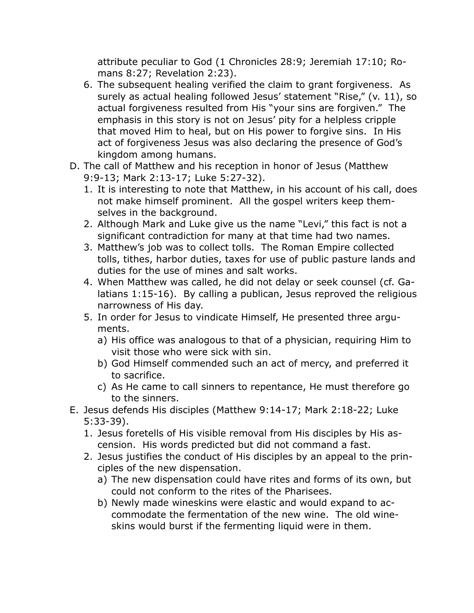attribute peculiar to God (1 Chronicles 28:9; Jeremiah 17:10; Romans 8:27; Revelation 2:23).

- 6. The subsequent healing verified the claim to grant forgiveness. As surely as actual healing followed Jesus' statement "Rise," (v. 11), so actual forgiveness resulted from His "your sins are forgiven." The emphasis in this story is not on Jesus' pity for a helpless cripple that moved Him to heal, but on His power to forgive sins. In His act of forgiveness Jesus was also declaring the presence of God's kingdom among humans.
- D. The call of Matthew and his reception in honor of Jesus (Matthew 9:9-13; Mark 2:13-17; Luke 5:27-32).
	- 1. It is interesting to note that Matthew, in his account of his call, does not make himself prominent. All the gospel writers keep themselves in the background.
	- 2. Although Mark and Luke give us the name "Levi," this fact is not a significant contradiction for many at that time had two names.
	- 3. Matthew's job was to collect tolls. The Roman Empire collected tolls, tithes, harbor duties, taxes for use of public pasture lands and duties for the use of mines and salt works.
	- 4. When Matthew was called, he did not delay or seek counsel (cf. Galatians 1:15-16). By calling a publican, Jesus reproved the religious narrowness of His day.
	- 5. In order for Jesus to vindicate Himself, He presented three arguments.
		- a) His office was analogous to that of a physician, requiring Him to visit those who were sick with sin.
		- b) God Himself commended such an act of mercy, and preferred it to sacrifice.
		- c) As He came to call sinners to repentance, He must therefore go to the sinners.
- E. Jesus defends His disciples (Matthew 9:14-17; Mark 2:18-22; Luke 5:33-39).
	- 1. Jesus foretells of His visible removal from His disciples by His ascension. His words predicted but did not command a fast.
	- 2. Jesus justifies the conduct of His disciples by an appeal to the principles of the new dispensation.
		- a) The new dispensation could have rites and forms of its own, but could not conform to the rites of the Pharisees.
		- b) Newly made wineskins were elastic and would expand to accommodate the fermentation of the new wine. The old wineskins would burst if the fermenting liquid were in them.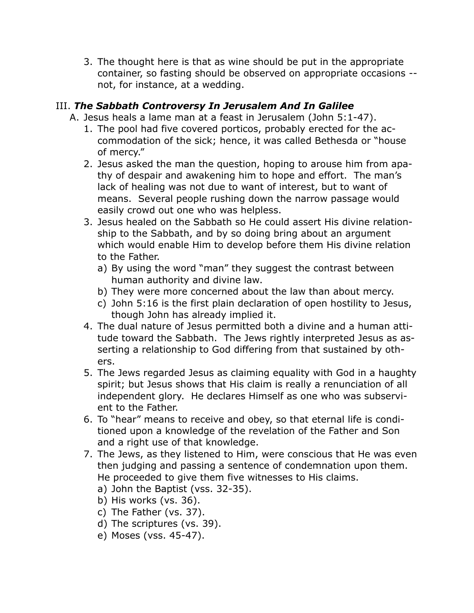3. The thought here is that as wine should be put in the appropriate container, so fasting should be observed on appropriate occasions - not, for instance, at a wedding.

## III. *The Sabbath Controversy In Jerusalem And In Galilee*

- A. Jesus heals a lame man at a feast in Jerusalem (John 5:1-47).
	- 1. The pool had five covered porticos, probably erected for the accommodation of the sick; hence, it was called Bethesda or "house of mercy."
	- 2. Jesus asked the man the question, hoping to arouse him from apathy of despair and awakening him to hope and effort. The man's lack of healing was not due to want of interest, but to want of means. Several people rushing down the narrow passage would easily crowd out one who was helpless.
	- 3. Jesus healed on the Sabbath so He could assert His divine relationship to the Sabbath, and by so doing bring about an argument which would enable Him to develop before them His divine relation to the Father.
		- a) By using the word "man" they suggest the contrast between human authority and divine law.
		- b) They were more concerned about the law than about mercy.
		- c) John 5:16 is the first plain declaration of open hostility to Jesus, though John has already implied it.
	- 4. The dual nature of Jesus permitted both a divine and a human attitude toward the Sabbath. The Jews rightly interpreted Jesus as asserting a relationship to God differing from that sustained by others.
	- 5. The Jews regarded Jesus as claiming equality with God in a haughty spirit; but Jesus shows that His claim is really a renunciation of all independent glory. He declares Himself as one who was subservient to the Father.
	- 6. To "hear" means to receive and obey, so that eternal life is conditioned upon a knowledge of the revelation of the Father and Son and a right use of that knowledge.
	- 7. The Jews, as they listened to Him, were conscious that He was even then judging and passing a sentence of condemnation upon them. He proceeded to give them five witnesses to His claims.
		- a) John the Baptist (vss. 32-35).
		- b) His works (vs. 36).
		- c) The Father (vs. 37).
		- d) The scriptures (vs. 39).
		- e) Moses (vss. 45-47).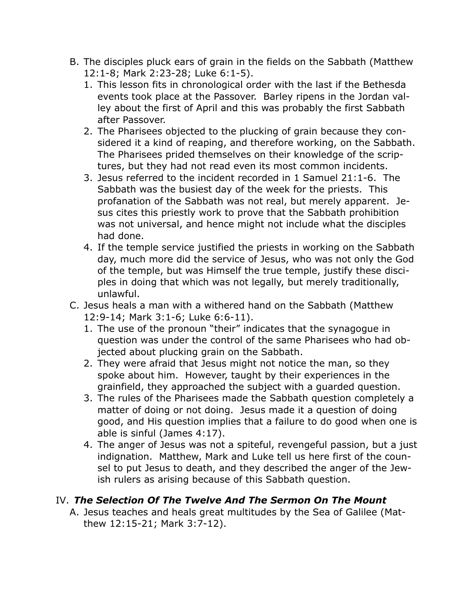- B. The disciples pluck ears of grain in the fields on the Sabbath (Matthew 12:1-8; Mark 2:23-28; Luke 6:1-5).
	- 1. This lesson fits in chronological order with the last if the Bethesda events took place at the Passover. Barley ripens in the Jordan valley about the first of April and this was probably the first Sabbath after Passover.
	- 2. The Pharisees objected to the plucking of grain because they considered it a kind of reaping, and therefore working, on the Sabbath. The Pharisees prided themselves on their knowledge of the scriptures, but they had not read even its most common incidents.
	- 3. Jesus referred to the incident recorded in 1 Samuel 21:1-6. The Sabbath was the busiest day of the week for the priests. This profanation of the Sabbath was not real, but merely apparent. Jesus cites this priestly work to prove that the Sabbath prohibition was not universal, and hence might not include what the disciples had done.
	- 4. If the temple service justified the priests in working on the Sabbath day, much more did the service of Jesus, who was not only the God of the temple, but was Himself the true temple, justify these disciples in doing that which was not legally, but merely traditionally, unlawful.
- C. Jesus heals a man with a withered hand on the Sabbath (Matthew 12:9-14; Mark 3:1-6; Luke 6:6-11).
	- 1. The use of the pronoun "their" indicates that the synagogue in question was under the control of the same Pharisees who had objected about plucking grain on the Sabbath.
	- 2. They were afraid that Jesus might not notice the man, so they spoke about him. However, taught by their experiences in the grainfield, they approached the subject with a guarded question.
	- 3. The rules of the Pharisees made the Sabbath question completely a matter of doing or not doing. Jesus made it a question of doing good, and His question implies that a failure to do good when one is able is sinful (James 4:17).
	- 4. The anger of Jesus was not a spiteful, revengeful passion, but a just indignation. Matthew, Mark and Luke tell us here first of the counsel to put Jesus to death, and they described the anger of the Jewish rulers as arising because of this Sabbath question.

#### IV. *The Selection Of The Twelve And The Sermon On The Mount*

A. Jesus teaches and heals great multitudes by the Sea of Galilee (Matthew 12:15-21; Mark 3:7-12).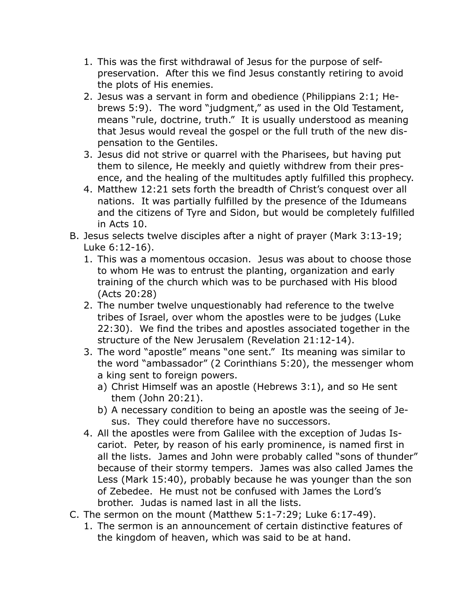- 1. This was the first withdrawal of Jesus for the purpose of selfpreservation. After this we find Jesus constantly retiring to avoid the plots of His enemies.
- 2. Jesus was a servant in form and obedience (Philippians 2:1; Hebrews 5:9). The word "judgment," as used in the Old Testament, means "rule, doctrine, truth." It is usually understood as meaning that Jesus would reveal the gospel or the full truth of the new dispensation to the Gentiles.
- 3. Jesus did not strive or quarrel with the Pharisees, but having put them to silence, He meekly and quietly withdrew from their presence, and the healing of the multitudes aptly fulfilled this prophecy.
- 4. Matthew 12:21 sets forth the breadth of Christ's conquest over all nations. It was partially fulfilled by the presence of the Idumeans and the citizens of Tyre and Sidon, but would be completely fulfilled in Acts 10.
- B. Jesus selects twelve disciples after a night of prayer (Mark 3:13-19; Luke 6:12-16).
	- 1. This was a momentous occasion. Jesus was about to choose those to whom He was to entrust the planting, organization and early training of the church which was to be purchased with His blood (Acts 20:28)
	- 2. The number twelve unquestionably had reference to the twelve tribes of Israel, over whom the apostles were to be judges (Luke 22:30). We find the tribes and apostles associated together in the structure of the New Jerusalem (Revelation 21:12-14).
	- 3. The word "apostle" means "one sent." Its meaning was similar to the word "ambassador" (2 Corinthians 5:20), the messenger whom a king sent to foreign powers.
		- a) Christ Himself was an apostle (Hebrews 3:1), and so He sent them (John 20:21).
		- b) A necessary condition to being an apostle was the seeing of Jesus. They could therefore have no successors.
	- 4. All the apostles were from Galilee with the exception of Judas Iscariot. Peter, by reason of his early prominence, is named first in all the lists. James and John were probably called "sons of thunder" because of their stormy tempers. James was also called James the Less (Mark 15:40), probably because he was younger than the son of Zebedee. He must not be confused with James the Lord's brother. Judas is named last in all the lists.
- C. The sermon on the mount (Matthew 5:1-7:29; Luke 6:17-49).
	- 1. The sermon is an announcement of certain distinctive features of the kingdom of heaven, which was said to be at hand.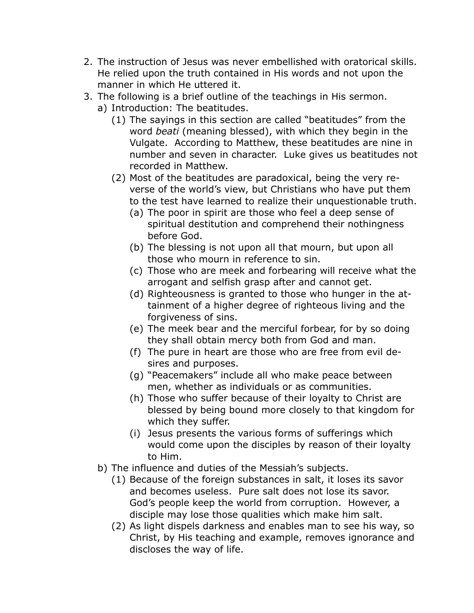- 2. The instruction of Jesus was never embellished with oratorical skills. He relied upon the truth contained in His words and not upon the manner in which He uttered it.
- 3. The following is a brief outline of the teachings in His sermon.
	- a) Introduction: The beatitudes.
		- (1) The sayings in this section are called "beatitudes" from the word *beati* (meaning blessed), with which they begin in the Vulgate. According to Matthew, these beatitudes are nine in number and seven in character. Luke gives us beatitudes not recorded in Matthew.
		- (2) Most of the beatitudes are paradoxical, being the very reverse of the world's view, but Christians who have put them to the test have learned to realize their unquestionable truth.
			- (a) The poor in spirit are those who feel a deep sense of spiritual destitution and comprehend their nothingness before God.
			- (b) The blessing is not upon all that mourn, but upon all those who mourn in reference to sin.
			- (c) Those who are meek and forbearing will receive what the arrogant and selfish grasp after and cannot get.
			- (d) Righteousness is granted to those who hunger in the attainment of a higher degree of righteous living and the forgiveness of sins.
			- (e) The meek bear and the merciful forbear, for by so doing they shall obtain mercy both from God and man.
			- (f) The pure in heart are those who are free from evil desires and purposes.
			- (g) "Peacemakers" include all who make peace between men, whether as individuals or as communities.
			- (h) Those who suffer because of their loyalty to Christ are blessed by being bound more closely to that kingdom for which they suffer.
			- (i) Jesus presents the various forms of sufferings which would come upon the disciples by reason of their loyalty to Him.
	- b) The influence and duties of the Messiah's subjects.
		- (1) Because of the foreign substances in salt, it loses its savor and becomes useless. Pure salt does not lose its savor. God's people keep the world from corruption. However, a disciple may lose those qualities which make him salt.
		- (2) As light dispels darkness and enables man to see his way, so Christ, by His teaching and example, removes ignorance and discloses the way of life.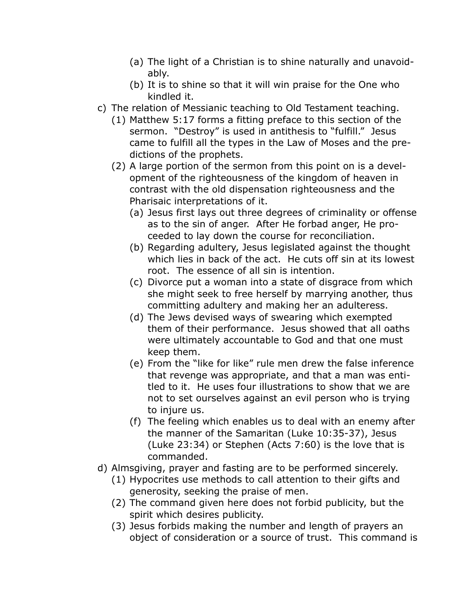- (a) The light of a Christian is to shine naturally and unavoidably.
- (b) It is to shine so that it will win praise for the One who kindled it.
- c) The relation of Messianic teaching to Old Testament teaching.
	- (1) Matthew 5:17 forms a fitting preface to this section of the sermon. "Destroy" is used in antithesis to "fulfill." Jesus came to fulfill all the types in the Law of Moses and the predictions of the prophets.
	- (2) A large portion of the sermon from this point on is a development of the righteousness of the kingdom of heaven in contrast with the old dispensation righteousness and the Pharisaic interpretations of it.
		- (a) Jesus first lays out three degrees of criminality or offense as to the sin of anger. After He forbad anger, He proceeded to lay down the course for reconciliation.
		- (b) Regarding adultery, Jesus legislated against the thought which lies in back of the act. He cuts off sin at its lowest root. The essence of all sin is intention.
		- (c) Divorce put a woman into a state of disgrace from which she might seek to free herself by marrying another, thus committing adultery and making her an adulteress.
		- (d) The Jews devised ways of swearing which exempted them of their performance. Jesus showed that all oaths were ultimately accountable to God and that one must keep them.
		- (e) From the "like for like" rule men drew the false inference that revenge was appropriate, and that a man was entitled to it. He uses four illustrations to show that we are not to set ourselves against an evil person who is trying to injure us.
		- (f) The feeling which enables us to deal with an enemy after the manner of the Samaritan (Luke 10:35-37), Jesus (Luke 23:34) or Stephen (Acts 7:60) is the love that is commanded.
- d) Almsgiving, prayer and fasting are to be performed sincerely.
	- (1) Hypocrites use methods to call attention to their gifts and generosity, seeking the praise of men.
	- (2) The command given here does not forbid publicity, but the spirit which desires publicity.
	- (3) Jesus forbids making the number and length of prayers an object of consideration or a source of trust. This command is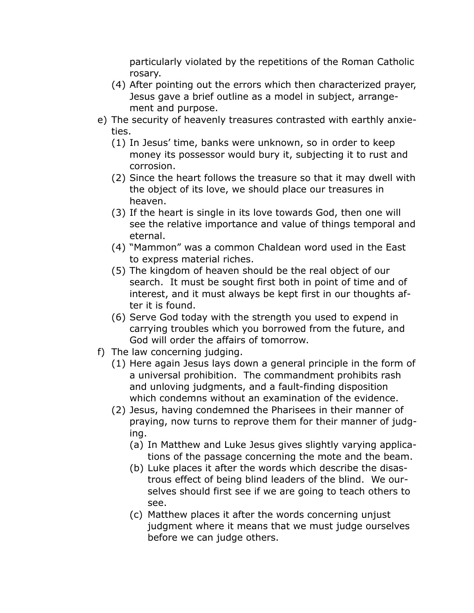particularly violated by the repetitions of the Roman Catholic rosary.

- (4) After pointing out the errors which then characterized prayer, Jesus gave a brief outline as a model in subject, arrangement and purpose.
- e) The security of heavenly treasures contrasted with earthly anxieties.
	- (1) In Jesus' time, banks were unknown, so in order to keep money its possessor would bury it, subjecting it to rust and corrosion.
	- (2) Since the heart follows the treasure so that it may dwell with the object of its love, we should place our treasures in heaven.
	- (3) If the heart is single in its love towards God, then one will see the relative importance and value of things temporal and eternal.
	- (4) "Mammon" was a common Chaldean word used in the East to express material riches.
	- (5) The kingdom of heaven should be the real object of our search. It must be sought first both in point of time and of interest, and it must always be kept first in our thoughts after it is found.
	- (6) Serve God today with the strength you used to expend in carrying troubles which you borrowed from the future, and God will order the affairs of tomorrow.
- f) The law concerning judging.
	- (1) Here again Jesus lays down a general principle in the form of a universal prohibition. The commandment prohibits rash and unloving judgments, and a fault-finding disposition which condemns without an examination of the evidence.
	- (2) Jesus, having condemned the Pharisees in their manner of praying, now turns to reprove them for their manner of judging.
		- (a) In Matthew and Luke Jesus gives slightly varying applications of the passage concerning the mote and the beam.
		- (b) Luke places it after the words which describe the disastrous effect of being blind leaders of the blind. We ourselves should first see if we are going to teach others to see.
		- (c) Matthew places it after the words concerning unjust judgment where it means that we must judge ourselves before we can judge others.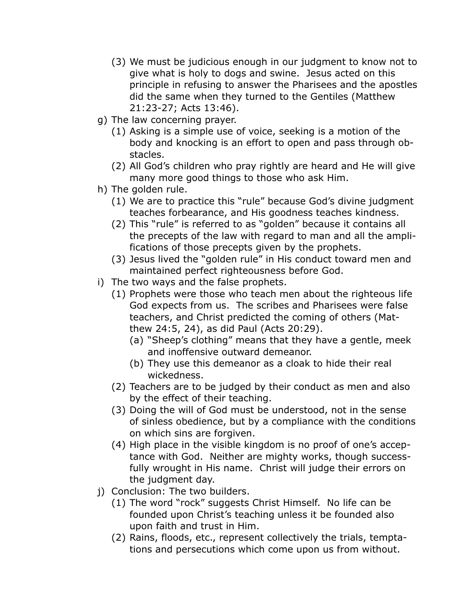- (3) We must be judicious enough in our judgment to know not to give what is holy to dogs and swine. Jesus acted on this principle in refusing to answer the Pharisees and the apostles did the same when they turned to the Gentiles (Matthew 21:23-27; Acts 13:46).
- g) The law concerning prayer.
	- (1) Asking is a simple use of voice, seeking is a motion of the body and knocking is an effort to open and pass through obstacles.
	- (2) All God's children who pray rightly are heard and He will give many more good things to those who ask Him.
- h) The golden rule.
	- (1) We are to practice this "rule" because God's divine judgment teaches forbearance, and His goodness teaches kindness.
	- (2) This "rule" is referred to as "golden" because it contains all the precepts of the law with regard to man and all the amplifications of those precepts given by the prophets.
	- (3) Jesus lived the "golden rule" in His conduct toward men and maintained perfect righteousness before God.
- i) The two ways and the false prophets.
	- (1) Prophets were those who teach men about the righteous life God expects from us. The scribes and Pharisees were false teachers, and Christ predicted the coming of others (Matthew 24:5, 24), as did Paul (Acts 20:29).
		- (a) "Sheep's clothing" means that they have a gentle, meek and inoffensive outward demeanor.
		- (b) They use this demeanor as a cloak to hide their real wickedness.
	- (2) Teachers are to be judged by their conduct as men and also by the effect of their teaching.
	- (3) Doing the will of God must be understood, not in the sense of sinless obedience, but by a compliance with the conditions on which sins are forgiven.
	- (4) High place in the visible kingdom is no proof of one's acceptance with God. Neither are mighty works, though successfully wrought in His name. Christ will judge their errors on the judgment day.
- j) Conclusion: The two builders.
	- (1) The word "rock" suggests Christ Himself. No life can be founded upon Christ's teaching unless it be founded also upon faith and trust in Him.
	- (2) Rains, floods, etc., represent collectively the trials, temptations and persecutions which come upon us from without.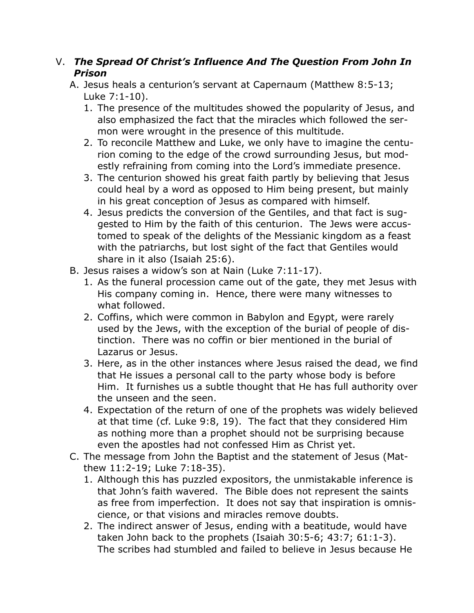### V. *The Spread Of Christ's Influence And The Question From John In Prison*

- A. Jesus heals a centurion's servant at Capernaum (Matthew 8:5-13; Luke 7:1-10).
	- 1. The presence of the multitudes showed the popularity of Jesus, and also emphasized the fact that the miracles which followed the sermon were wrought in the presence of this multitude.
	- 2. To reconcile Matthew and Luke, we only have to imagine the centurion coming to the edge of the crowd surrounding Jesus, but modestly refraining from coming into the Lord's immediate presence.
	- 3. The centurion showed his great faith partly by believing that Jesus could heal by a word as opposed to Him being present, but mainly in his great conception of Jesus as compared with himself.
	- 4. Jesus predicts the conversion of the Gentiles, and that fact is suggested to Him by the faith of this centurion. The Jews were accustomed to speak of the delights of the Messianic kingdom as a feast with the patriarchs, but lost sight of the fact that Gentiles would share in it also (Isaiah 25:6).
- B. Jesus raises a widow's son at Nain (Luke 7:11-17).
	- 1. As the funeral procession came out of the gate, they met Jesus with His company coming in. Hence, there were many witnesses to what followed.
	- 2. Coffins, which were common in Babylon and Egypt, were rarely used by the Jews, with the exception of the burial of people of distinction. There was no coffin or bier mentioned in the burial of Lazarus or Jesus.
	- 3. Here, as in the other instances where Jesus raised the dead, we find that He issues a personal call to the party whose body is before Him. It furnishes us a subtle thought that He has full authority over the unseen and the seen.
	- 4. Expectation of the return of one of the prophets was widely believed at that time (cf. Luke 9:8, 19). The fact that they considered Him as nothing more than a prophet should not be surprising because even the apostles had not confessed Him as Christ yet.
- C. The message from John the Baptist and the statement of Jesus (Matthew 11:2-19; Luke 7:18-35).
	- 1. Although this has puzzled expositors, the unmistakable inference is that John's faith wavered. The Bible does not represent the saints as free from imperfection. It does not say that inspiration is omniscience, or that visions and miracles remove doubts.
	- 2. The indirect answer of Jesus, ending with a beatitude, would have taken John back to the prophets (Isaiah 30:5-6; 43:7; 61:1-3). The scribes had stumbled and failed to believe in Jesus because He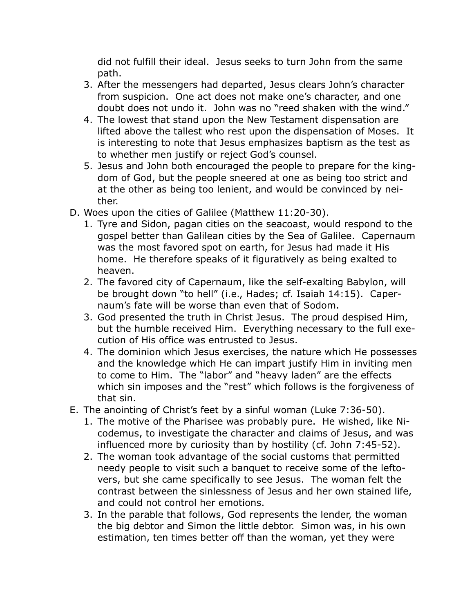did not fulfill their ideal. Jesus seeks to turn John from the same path.

- 3. After the messengers had departed, Jesus clears John's character from suspicion. One act does not make one's character, and one doubt does not undo it. John was no "reed shaken with the wind."
- 4. The lowest that stand upon the New Testament dispensation are lifted above the tallest who rest upon the dispensation of Moses. It is interesting to note that Jesus emphasizes baptism as the test as to whether men justify or reject God's counsel.
- 5. Jesus and John both encouraged the people to prepare for the kingdom of God, but the people sneered at one as being too strict and at the other as being too lenient, and would be convinced by neither.
- D. Woes upon the cities of Galilee (Matthew 11:20-30).
	- 1. Tyre and Sidon, pagan cities on the seacoast, would respond to the gospel better than Galilean cities by the Sea of Galilee. Capernaum was the most favored spot on earth, for Jesus had made it His home. He therefore speaks of it figuratively as being exalted to heaven.
	- 2. The favored city of Capernaum, like the self-exalting Babylon, will be brought down "to hell" (i.e., Hades; cf. Isaiah 14:15). Capernaum's fate will be worse than even that of Sodom.
	- 3. God presented the truth in Christ Jesus. The proud despised Him, but the humble received Him. Everything necessary to the full execution of His office was entrusted to Jesus.
	- 4. The dominion which Jesus exercises, the nature which He possesses and the knowledge which He can impart justify Him in inviting men to come to Him. The "labor" and "heavy laden" are the effects which sin imposes and the "rest" which follows is the forgiveness of that sin.
- E. The anointing of Christ's feet by a sinful woman (Luke 7:36-50).
	- 1. The motive of the Pharisee was probably pure. He wished, like Nicodemus, to investigate the character and claims of Jesus, and was influenced more by curiosity than by hostility (cf. John 7:45-52).
	- 2. The woman took advantage of the social customs that permitted needy people to visit such a banquet to receive some of the leftovers, but she came specifically to see Jesus. The woman felt the contrast between the sinlessness of Jesus and her own stained life, and could not control her emotions.
	- 3. In the parable that follows, God represents the lender, the woman the big debtor and Simon the little debtor. Simon was, in his own estimation, ten times better off than the woman, yet they were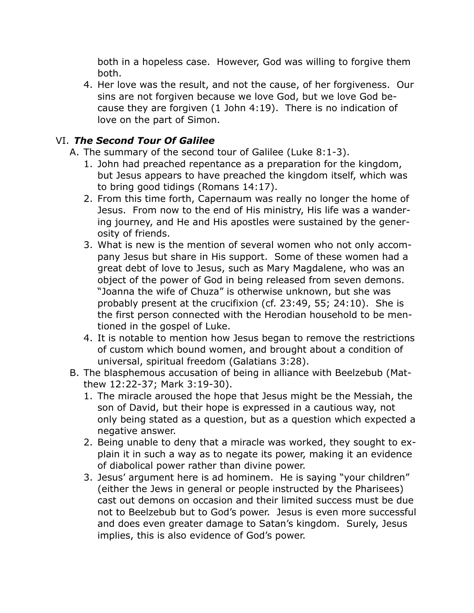both in a hopeless case. However, God was willing to forgive them both.

4. Her love was the result, and not the cause, of her forgiveness. Our sins are not forgiven because we love God, but we love God because they are forgiven (1 John 4:19). There is no indication of love on the part of Simon.

## VI. *The Second Tour Of Galilee*

- A. The summary of the second tour of Galilee (Luke 8:1-3).
	- 1. John had preached repentance as a preparation for the kingdom, but Jesus appears to have preached the kingdom itself, which was to bring good tidings (Romans 14:17).
	- 2. From this time forth, Capernaum was really no longer the home of Jesus. From now to the end of His ministry, His life was a wandering journey, and He and His apostles were sustained by the generosity of friends.
	- 3. What is new is the mention of several women who not only accompany Jesus but share in His support. Some of these women had a great debt of love to Jesus, such as Mary Magdalene, who was an object of the power of God in being released from seven demons. "Joanna the wife of Chuza" is otherwise unknown, but she was probably present at the crucifixion (cf. 23:49, 55; 24:10). She is the first person connected with the Herodian household to be mentioned in the gospel of Luke.
	- 4. It is notable to mention how Jesus began to remove the restrictions of custom which bound women, and brought about a condition of universal, spiritual freedom (Galatians 3:28).
- B. The blasphemous accusation of being in alliance with Beelzebub (Matthew 12:22-37; Mark 3:19-30).
	- 1. The miracle aroused the hope that Jesus might be the Messiah, the son of David, but their hope is expressed in a cautious way, not only being stated as a question, but as a question which expected a negative answer.
	- 2. Being unable to deny that a miracle was worked, they sought to explain it in such a way as to negate its power, making it an evidence of diabolical power rather than divine power.
	- 3. Jesus' argument here is ad hominem. He is saying "your children" (either the Jews in general or people instructed by the Pharisees) cast out demons on occasion and their limited success must be due not to Beelzebub but to God's power. Jesus is even more successful and does even greater damage to Satan's kingdom. Surely, Jesus implies, this is also evidence of God's power.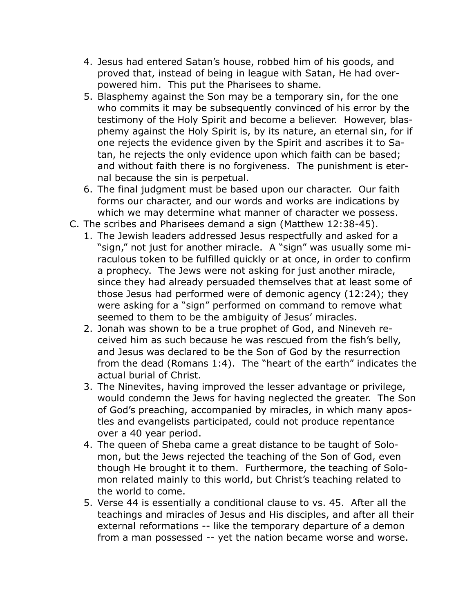- 4. Jesus had entered Satan's house, robbed him of his goods, and proved that, instead of being in league with Satan, He had overpowered him. This put the Pharisees to shame.
- 5. Blasphemy against the Son may be a temporary sin, for the one who commits it may be subsequently convinced of his error by the testimony of the Holy Spirit and become a believer. However, blasphemy against the Holy Spirit is, by its nature, an eternal sin, for if one rejects the evidence given by the Spirit and ascribes it to Satan, he rejects the only evidence upon which faith can be based; and without faith there is no forgiveness. The punishment is eternal because the sin is perpetual.
- 6. The final judgment must be based upon our character. Our faith forms our character, and our words and works are indications by which we may determine what manner of character we possess.
- C. The scribes and Pharisees demand a sign (Matthew 12:38-45).
	- 1. The Jewish leaders addressed Jesus respectfully and asked for a "sign," not just for another miracle. A "sign" was usually some miraculous token to be fulfilled quickly or at once, in order to confirm a prophecy. The Jews were not asking for just another miracle, since they had already persuaded themselves that at least some of those Jesus had performed were of demonic agency (12:24); they were asking for a "sign" performed on command to remove what seemed to them to be the ambiguity of Jesus' miracles.
	- 2. Jonah was shown to be a true prophet of God, and Nineveh received him as such because he was rescued from the fish's belly, and Jesus was declared to be the Son of God by the resurrection from the dead (Romans 1:4). The "heart of the earth" indicates the actual burial of Christ.
	- 3. The Ninevites, having improved the lesser advantage or privilege, would condemn the Jews for having neglected the greater. The Son of God's preaching, accompanied by miracles, in which many apostles and evangelists participated, could not produce repentance over a 40 year period.
	- 4. The queen of Sheba came a great distance to be taught of Solomon, but the Jews rejected the teaching of the Son of God, even though He brought it to them. Furthermore, the teaching of Solomon related mainly to this world, but Christ's teaching related to the world to come.
	- 5. Verse 44 is essentially a conditional clause to vs. 45. After all the teachings and miracles of Jesus and His disciples, and after all their external reformations -- like the temporary departure of a demon from a man possessed -- yet the nation became worse and worse.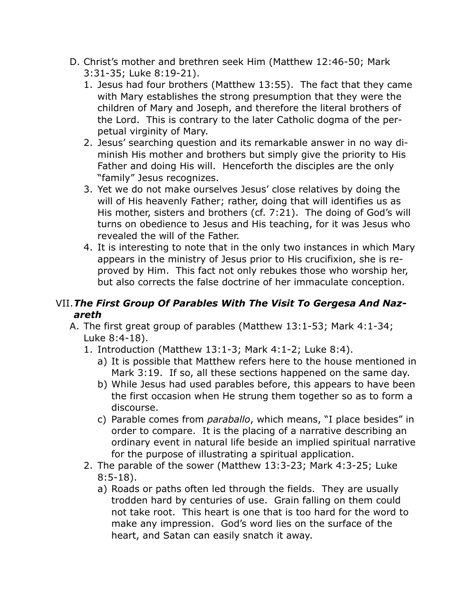- D. Christ's mother and brethren seek Him (Matthew 12:46-50; Mark 3:31-35; Luke 8:19-21).
	- 1. Jesus had four brothers (Matthew 13:55). The fact that they came with Mary establishes the strong presumption that they were the children of Mary and Joseph, and therefore the literal brothers of the Lord. This is contrary to the later Catholic dogma of the perpetual virginity of Mary.
	- 2. Jesus' searching question and its remarkable answer in no way diminish His mother and brothers but simply give the priority to His Father and doing His will. Henceforth the disciples are the only "family" Jesus recognizes.
	- 3. Yet we do not make ourselves Jesus' close relatives by doing the will of His heavenly Father; rather, doing that will identifies us as His mother, sisters and brothers (cf. 7:21). The doing of God's will turns on obedience to Jesus and His teaching, for it was Jesus who revealed the will of the Father.
	- 4. It is interesting to note that in the only two instances in which Mary appears in the ministry of Jesus prior to His crucifixion, she is reproved by Him. This fact not only rebukes those who worship her, but also corrects the false doctrine of her immaculate conception.

## VII.*The First Group Of Parables With The Visit To Gergesa And Nazareth*

- A. The first great group of parables (Matthew 13:1-53; Mark 4:1-34; Luke 8:4-18).
	- 1. Introduction (Matthew 13:1-3; Mark 4:1-2; Luke 8:4).
		- a) It is possible that Matthew refers here to the house mentioned in Mark 3:19. If so, all these sections happened on the same day.
		- b) While Jesus had used parables before, this appears to have been the first occasion when He strung them together so as to form a discourse.
		- c) Parable comes from *paraballo*, which means, "I place besides" in order to compare. It is the placing of a narrative describing an ordinary event in natural life beside an implied spiritual narrative for the purpose of illustrating a spiritual application.
	- 2. The parable of the sower (Matthew 13:3-23; Mark 4:3-25; Luke 8:5-18).
		- a) Roads or paths often led through the fields. They are usually trodden hard by centuries of use. Grain falling on them could not take root. This heart is one that is too hard for the word to make any impression. God's word lies on the surface of the heart, and Satan can easily snatch it away.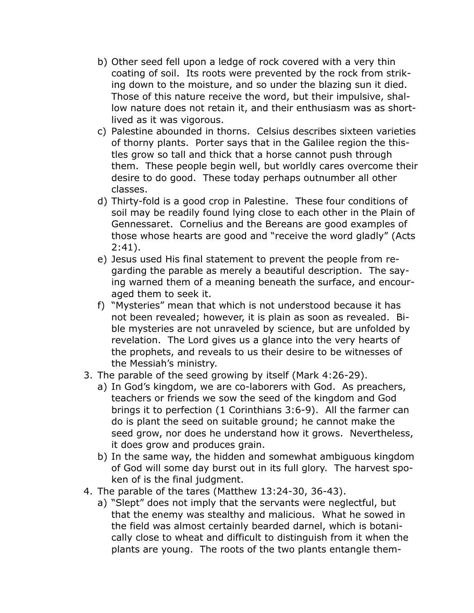- b) Other seed fell upon a ledge of rock covered with a very thin coating of soil. Its roots were prevented by the rock from striking down to the moisture, and so under the blazing sun it died. Those of this nature receive the word, but their impulsive, shallow nature does not retain it, and their enthusiasm was as shortlived as it was vigorous.
- c) Palestine abounded in thorns. Celsius describes sixteen varieties of thorny plants. Porter says that in the Galilee region the thistles grow so tall and thick that a horse cannot push through them. These people begin well, but worldly cares overcome their desire to do good. These today perhaps outnumber all other classes.
- d) Thirty-fold is a good crop in Palestine. These four conditions of soil may be readily found lying close to each other in the Plain of Gennessaret. Cornelius and the Bereans are good examples of those whose hearts are good and "receive the word gladly" (Acts 2:41).
- e) Jesus used His final statement to prevent the people from regarding the parable as merely a beautiful description. The saying warned them of a meaning beneath the surface, and encouraged them to seek it.
- f) "Mysteries" mean that which is not understood because it has not been revealed; however, it is plain as soon as revealed. Bible mysteries are not unraveled by science, but are unfolded by revelation. The Lord gives us a glance into the very hearts of the prophets, and reveals to us their desire to be witnesses of the Messiah's ministry.
- 3. The parable of the seed growing by itself (Mark 4:26-29).
	- a) In God's kingdom, we are co-laborers with God. As preachers, teachers or friends we sow the seed of the kingdom and God brings it to perfection (1 Corinthians 3:6-9). All the farmer can do is plant the seed on suitable ground; he cannot make the seed grow, nor does he understand how it grows. Nevertheless, it does grow and produces grain.
	- b) In the same way, the hidden and somewhat ambiguous kingdom of God will some day burst out in its full glory. The harvest spoken of is the final judgment.
- 4. The parable of the tares (Matthew 13:24-30, 36-43).
	- a) "Slept" does not imply that the servants were neglectful, but that the enemy was stealthy and malicious. What he sowed in the field was almost certainly bearded darnel, which is botanically close to wheat and difficult to distinguish from it when the plants are young. The roots of the two plants entangle them-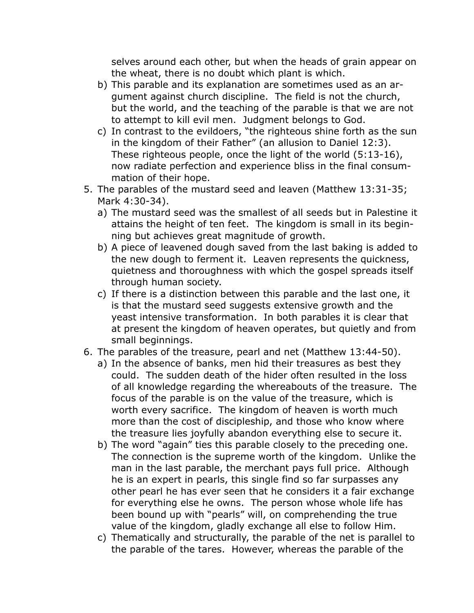selves around each other, but when the heads of grain appear on the wheat, there is no doubt which plant is which.

- b) This parable and its explanation are sometimes used as an argument against church discipline. The field is not the church, but the world, and the teaching of the parable is that we are not to attempt to kill evil men. Judgment belongs to God.
- c) In contrast to the evildoers, "the righteous shine forth as the sun in the kingdom of their Father" (an allusion to Daniel 12:3). These righteous people, once the light of the world (5:13-16), now radiate perfection and experience bliss in the final consummation of their hope.
- 5. The parables of the mustard seed and leaven (Matthew 13:31-35; Mark 4:30-34).
	- a) The mustard seed was the smallest of all seeds but in Palestine it attains the height of ten feet. The kingdom is small in its beginning but achieves great magnitude of growth.
	- b) A piece of leavened dough saved from the last baking is added to the new dough to ferment it. Leaven represents the quickness, quietness and thoroughness with which the gospel spreads itself through human society.
	- c) If there is a distinction between this parable and the last one, it is that the mustard seed suggests extensive growth and the yeast intensive transformation. In both parables it is clear that at present the kingdom of heaven operates, but quietly and from small beginnings.
- 6. The parables of the treasure, pearl and net (Matthew 13:44-50).
	- a) In the absence of banks, men hid their treasures as best they could. The sudden death of the hider often resulted in the loss of all knowledge regarding the whereabouts of the treasure. The focus of the parable is on the value of the treasure, which is worth every sacrifice. The kingdom of heaven is worth much more than the cost of discipleship, and those who know where the treasure lies joyfully abandon everything else to secure it.
	- b) The word "again" ties this parable closely to the preceding one. The connection is the supreme worth of the kingdom. Unlike the man in the last parable, the merchant pays full price. Although he is an expert in pearls, this single find so far surpasses any other pearl he has ever seen that he considers it a fair exchange for everything else he owns. The person whose whole life has been bound up with "pearls" will, on comprehending the true value of the kingdom, gladly exchange all else to follow Him.
	- c) Thematically and structurally, the parable of the net is parallel to the parable of the tares. However, whereas the parable of the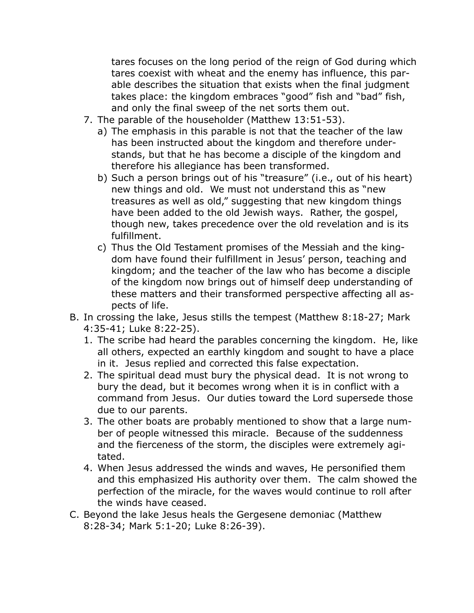tares focuses on the long period of the reign of God during which tares coexist with wheat and the enemy has influence, this parable describes the situation that exists when the final judgment takes place: the kingdom embraces "good" fish and "bad" fish, and only the final sweep of the net sorts them out.

- 7. The parable of the householder (Matthew 13:51-53).
	- a) The emphasis in this parable is not that the teacher of the law has been instructed about the kingdom and therefore understands, but that he has become a disciple of the kingdom and therefore his allegiance has been transformed.
	- b) Such a person brings out of his "treasure" (i.e., out of his heart) new things and old. We must not understand this as "new treasures as well as old," suggesting that new kingdom things have been added to the old Jewish ways. Rather, the gospel, though new, takes precedence over the old revelation and is its fulfillment.
	- c) Thus the Old Testament promises of the Messiah and the kingdom have found their fulfillment in Jesus' person, teaching and kingdom; and the teacher of the law who has become a disciple of the kingdom now brings out of himself deep understanding of these matters and their transformed perspective affecting all aspects of life.
- B. In crossing the lake, Jesus stills the tempest (Matthew 8:18-27; Mark 4:35-41; Luke 8:22-25).
	- 1. The scribe had heard the parables concerning the kingdom. He, like all others, expected an earthly kingdom and sought to have a place in it. Jesus replied and corrected this false expectation.
	- 2. The spiritual dead must bury the physical dead. It is not wrong to bury the dead, but it becomes wrong when it is in conflict with a command from Jesus. Our duties toward the Lord supersede those due to our parents.
	- 3. The other boats are probably mentioned to show that a large number of people witnessed this miracle. Because of the suddenness and the fierceness of the storm, the disciples were extremely agitated.
	- 4. When Jesus addressed the winds and waves, He personified them and this emphasized His authority over them. The calm showed the perfection of the miracle, for the waves would continue to roll after the winds have ceased.
- C. Beyond the lake Jesus heals the Gergesene demoniac (Matthew 8:28-34; Mark 5:1-20; Luke 8:26-39).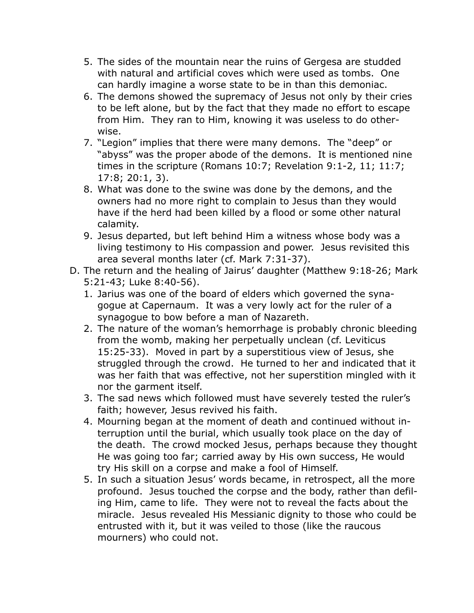- 5. The sides of the mountain near the ruins of Gergesa are studded with natural and artificial coves which were used as tombs. One can hardly imagine a worse state to be in than this demoniac.
- 6. The demons showed the supremacy of Jesus not only by their cries to be left alone, but by the fact that they made no effort to escape from Him. They ran to Him, knowing it was useless to do otherwise.
- 7. "Legion" implies that there were many demons. The "deep" or "abyss" was the proper abode of the demons. It is mentioned nine times in the scripture (Romans 10:7; Revelation 9:1-2, 11; 11:7; 17:8; 20:1, 3).
- 8. What was done to the swine was done by the demons, and the owners had no more right to complain to Jesus than they would have if the herd had been killed by a flood or some other natural calamity.
- 9. Jesus departed, but left behind Him a witness whose body was a living testimony to His compassion and power. Jesus revisited this area several months later (cf. Mark 7:31-37).
- D. The return and the healing of Jairus' daughter (Matthew 9:18-26; Mark 5:21-43; Luke 8:40-56).
	- 1. Jarius was one of the board of elders which governed the synagogue at Capernaum. It was a very lowly act for the ruler of a synagogue to bow before a man of Nazareth.
	- 2. The nature of the woman's hemorrhage is probably chronic bleeding from the womb, making her perpetually unclean (cf. Leviticus 15:25-33). Moved in part by a superstitious view of Jesus, she struggled through the crowd. He turned to her and indicated that it was her faith that was effective, not her superstition mingled with it nor the garment itself.
	- 3. The sad news which followed must have severely tested the ruler's faith; however, Jesus revived his faith.
	- 4. Mourning began at the moment of death and continued without interruption until the burial, which usually took place on the day of the death. The crowd mocked Jesus, perhaps because they thought He was going too far; carried away by His own success, He would try His skill on a corpse and make a fool of Himself.
	- 5. In such a situation Jesus' words became, in retrospect, all the more profound. Jesus touched the corpse and the body, rather than defiling Him, came to life. They were not to reveal the facts about the miracle. Jesus revealed His Messianic dignity to those who could be entrusted with it, but it was veiled to those (like the raucous mourners) who could not.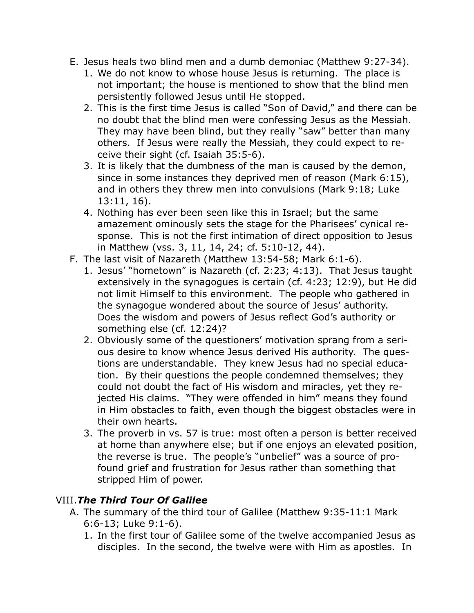- E. Jesus heals two blind men and a dumb demoniac (Matthew 9:27-34).
	- 1. We do not know to whose house Jesus is returning. The place is not important; the house is mentioned to show that the blind men persistently followed Jesus until He stopped.
	- 2. This is the first time Jesus is called "Son of David," and there can be no doubt that the blind men were confessing Jesus as the Messiah. They may have been blind, but they really "saw" better than many others. If Jesus were really the Messiah, they could expect to receive their sight (cf. Isaiah 35:5-6).
	- 3. It is likely that the dumbness of the man is caused by the demon, since in some instances they deprived men of reason (Mark 6:15), and in others they threw men into convulsions (Mark 9:18; Luke 13:11, 16).
	- 4. Nothing has ever been seen like this in Israel; but the same amazement ominously sets the stage for the Pharisees' cynical response. This is not the first intimation of direct opposition to Jesus in Matthew (vss. 3, 11, 14, 24; cf. 5:10-12, 44).
- F. The last visit of Nazareth (Matthew 13:54-58; Mark 6:1-6).
	- 1. Jesus' "hometown" is Nazareth (cf. 2:23; 4:13). That Jesus taught extensively in the synagogues is certain (cf. 4:23; 12:9), but He did not limit Himself to this environment. The people who gathered in the synagogue wondered about the source of Jesus' authority. Does the wisdom and powers of Jesus reflect God's authority or something else (cf. 12:24)?
	- 2. Obviously some of the questioners' motivation sprang from a serious desire to know whence Jesus derived His authority. The questions are understandable. They knew Jesus had no special education. By their questions the people condemned themselves; they could not doubt the fact of His wisdom and miracles, yet they rejected His claims. "They were offended in him" means they found in Him obstacles to faith, even though the biggest obstacles were in their own hearts.
	- 3. The proverb in vs. 57 is true: most often a person is better received at home than anywhere else; but if one enjoys an elevated position, the reverse is true. The people's "unbelief" was a source of profound grief and frustration for Jesus rather than something that stripped Him of power.

#### VIII.*The Third Tour Of Galilee*

- A. The summary of the third tour of Galilee (Matthew 9:35-11:1 Mark 6:6-13; Luke 9:1-6).
	- 1. In the first tour of Galilee some of the twelve accompanied Jesus as disciples. In the second, the twelve were with Him as apostles. In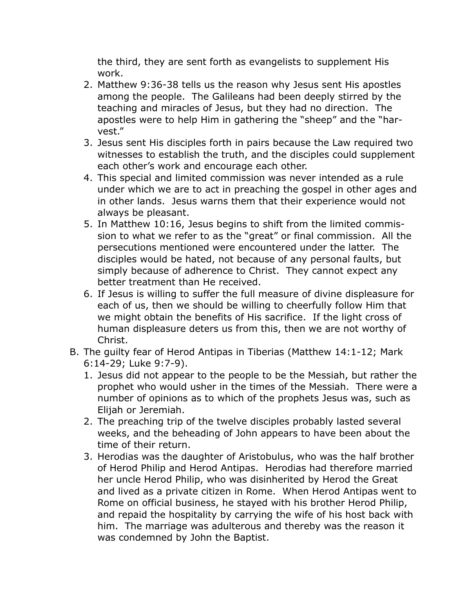the third, they are sent forth as evangelists to supplement His work.

- 2. Matthew 9:36-38 tells us the reason why Jesus sent His apostles among the people. The Galileans had been deeply stirred by the teaching and miracles of Jesus, but they had no direction. The apostles were to help Him in gathering the "sheep" and the "harvest."
- 3. Jesus sent His disciples forth in pairs because the Law required two witnesses to establish the truth, and the disciples could supplement each other's work and encourage each other.
- 4. This special and limited commission was never intended as a rule under which we are to act in preaching the gospel in other ages and in other lands. Jesus warns them that their experience would not always be pleasant.
- 5. In Matthew 10:16, Jesus begins to shift from the limited commission to what we refer to as the "great" or final commission. All the persecutions mentioned were encountered under the latter. The disciples would be hated, not because of any personal faults, but simply because of adherence to Christ. They cannot expect any better treatment than He received.
- 6. If Jesus is willing to suffer the full measure of divine displeasure for each of us, then we should be willing to cheerfully follow Him that we might obtain the benefits of His sacrifice. If the light cross of human displeasure deters us from this, then we are not worthy of Christ.
- B. The guilty fear of Herod Antipas in Tiberias (Matthew 14:1-12; Mark 6:14-29; Luke 9:7-9).
	- 1. Jesus did not appear to the people to be the Messiah, but rather the prophet who would usher in the times of the Messiah. There were a number of opinions as to which of the prophets Jesus was, such as Elijah or Jeremiah.
	- 2. The preaching trip of the twelve disciples probably lasted several weeks, and the beheading of John appears to have been about the time of their return.
	- 3. Herodias was the daughter of Aristobulus, who was the half brother of Herod Philip and Herod Antipas. Herodias had therefore married her uncle Herod Philip, who was disinherited by Herod the Great and lived as a private citizen in Rome. When Herod Antipas went to Rome on official business, he stayed with his brother Herod Philip, and repaid the hospitality by carrying the wife of his host back with him. The marriage was adulterous and thereby was the reason it was condemned by John the Baptist.